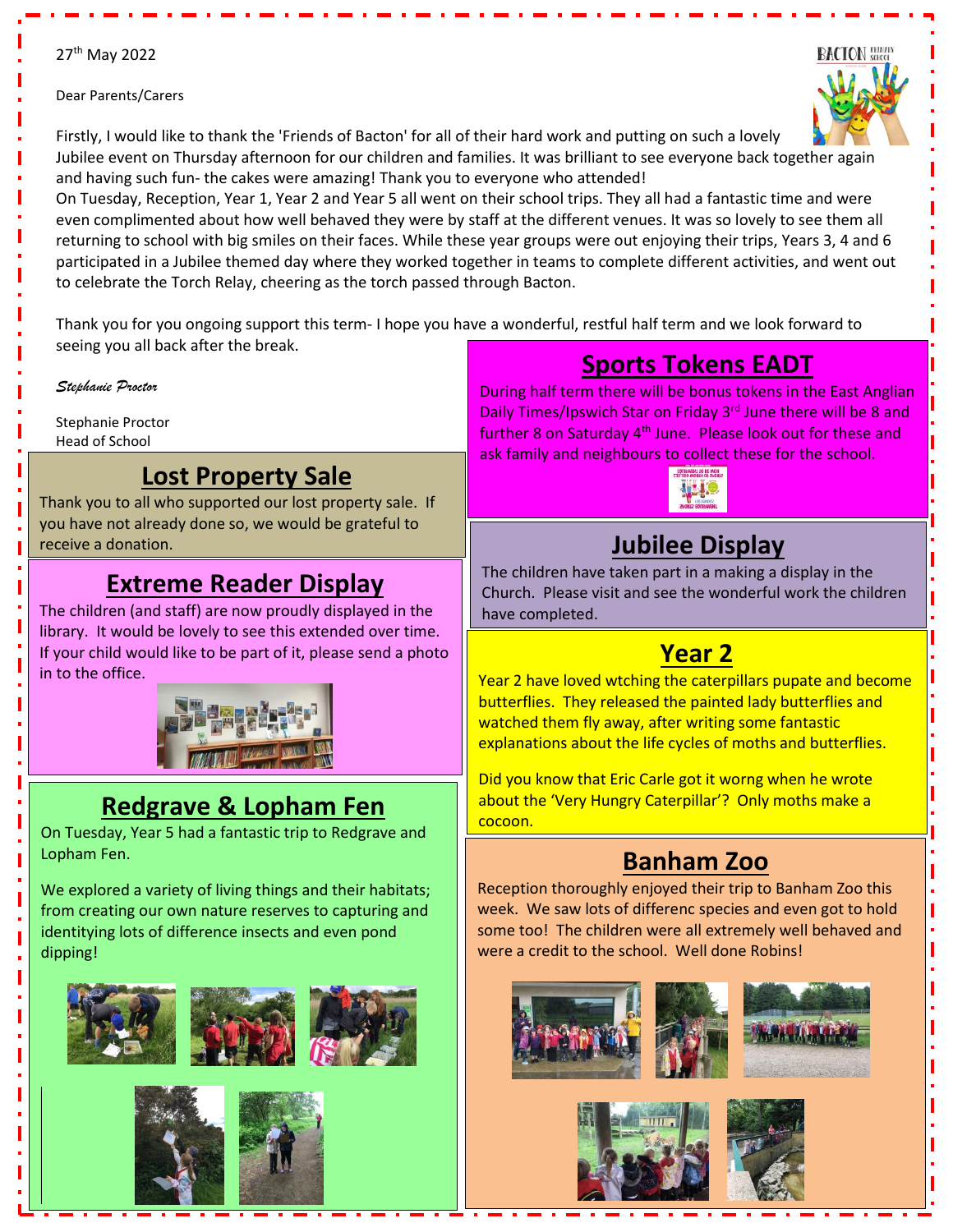#### 27<sup>th</sup> May 2022

#### Dear Parents/Carers



Firstly, I would like to thank the 'Friends of Bacton' for all of their hard work and putting on such a lovely Jubilee event on Thursday afternoon for our children and families. It was brilliant to see everyone back together again and having such fun- the cakes were amazing! Thank you to everyone who attended!

On Tuesday, Reception, Year 1, Year 2 and Year 5 all went on their school trips. They all had a fantastic time and were even complimented about how well behaved they were by staff at the different venues. It was so lovely to see them all returning to school with big smiles on their faces. While these year groups were out enjoying their trips, Years 3, 4 and 6 participated in a Jubilee themed day where they worked together in teams to complete different activities, and went out to celebrate the Torch Relay, cheering as the torch passed through Bacton.

Thank you for you ongoing support this term- I hope you have a wonderful, restful half term and we look forward to seeing you all back after the break.

Ī

Ī

Ī

*Stephanie Proctor*

Stephanie Proctor Head of School

Ī

#### **Lost Property Sale**

Thank you to all who supported our lost property sale. If you have not already done so, we would be grateful to receive a donation.

### **Extreme Reader Display**

The children (and staff) are now proudly displayed in the library. It would be lovely to see this extended over time. If your child would like to be part of it, please send a photo in to the office.



## **Redgrave & Lopham Fen**

On Tuesday, Year 5 had a fantastic trip to Redgrave and Lopham Fen.

We explored a variety of living things and their habitats; from creating our own nature reserves to capturing and identitying lots of difference insects and even pond dipping!







**Sports Tokens EADT**

During half term there will be bonus tokens in the East Anglian Daily Times/Ipswich Star on Friday 3<sup>rd</sup> June there will be 8 and further 8 on Saturday 4<sup>th</sup> June. Please look out for these and ask family and neighbours to collect these for the school.



# **Jubilee Display**

The children have taken part in a making a display in the Church. Please visit and see the wonderful work the children have completed.

## **Year 2**

Year 2 have loved wtching the caterpillars pupate and become butterflies. They released the painted lady butterflies and watched them fly away, after writing some fantastic explanations about the life cycles of moths and butterflies.

Did you know that Eric Carle got it worng when he wrote about the 'Very Hungry Caterpillar'? Only moths make a cocoon.

## **Banham Zoo**

Reception thoroughly enjoyed their trip to Banham Zoo this week. We saw lots of differenc species and even got to hold some too! The children were all extremely well behaved and were a credit to the school. Well done Robins!